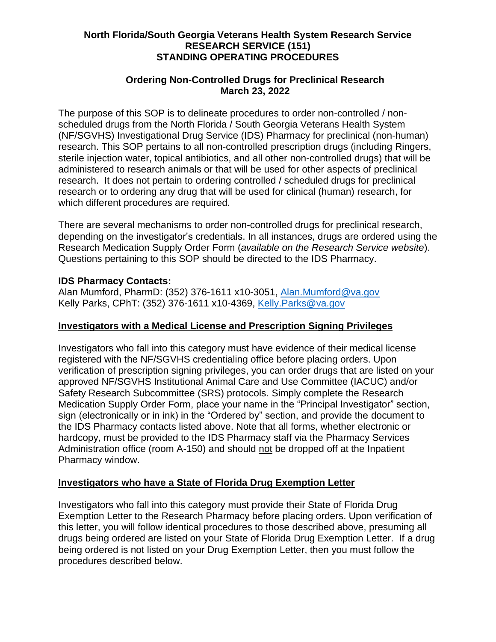## **North Florida/South Georgia Veterans Health System Research Service RESEARCH SERVICE (151) STANDING OPERATING PROCEDURES**

## **Ordering Non-Controlled Drugs for Preclinical Research March 23, 2022**

The purpose of this SOP is to delineate procedures to order non-controlled / nonscheduled drugs from the North Florida / South Georgia Veterans Health System (NF/SGVHS) Investigational Drug Service (IDS) Pharmacy for preclinical (non-human) research. This SOP pertains to all non-controlled prescription drugs (including Ringers, sterile injection water, topical antibiotics, and all other non-controlled drugs) that will be administered to research animals or that will be used for other aspects of preclinical research. It does not pertain to ordering controlled / scheduled drugs for preclinical research or to ordering any drug that will be used for clinical (human) research, for which different procedures are required.

There are several mechanisms to order non-controlled drugs for preclinical research, depending on the investigator's credentials. In all instances, drugs are ordered using the Research Medication Supply Order Form (*available on the Research Service website*). Questions pertaining to this SOP should be directed to the IDS Pharmacy.

### **IDS Pharmacy Contacts:**

Alan Mumford, PharmD: (352) 376-1611 x10-3051, [Alan.Mumford@va.gov](mailto:Alan.Mumford@va.gov) Kelly Parks, CPhT: (352) 376-1611 x10-4369, [Kelly.Parks@va.gov](mailto:Kelly.Parks@va.gov)

## **Investigators with a Medical License and Prescription Signing Privileges**

Investigators who fall into this category must have evidence of their medical license registered with the NF/SGVHS credentialing office before placing orders. Upon verification of prescription signing privileges, you can order drugs that are listed on your approved NF/SGVHS Institutional Animal Care and Use Committee (IACUC) and/or Safety Research Subcommittee (SRS) protocols. Simply complete the Research Medication Supply Order Form, place your name in the "Principal Investigator" section, sign (electronically or in ink) in the "Ordered by" section, and provide the document to the IDS Pharmacy contacts listed above. Note that all forms, whether electronic or hardcopy, must be provided to the IDS Pharmacy staff via the Pharmacy Services Administration office (room A-150) and should not be dropped off at the Inpatient Pharmacy window.

### **Investigators who have a State of Florida Drug Exemption Letter**

Investigators who fall into this category must provide their State of Florida Drug Exemption Letter to the Research Pharmacy before placing orders. Upon verification of this letter, you will follow identical procedures to those described above, presuming all drugs being ordered are listed on your State of Florida Drug Exemption Letter. If a drug being ordered is not listed on your Drug Exemption Letter, then you must follow the procedures described below.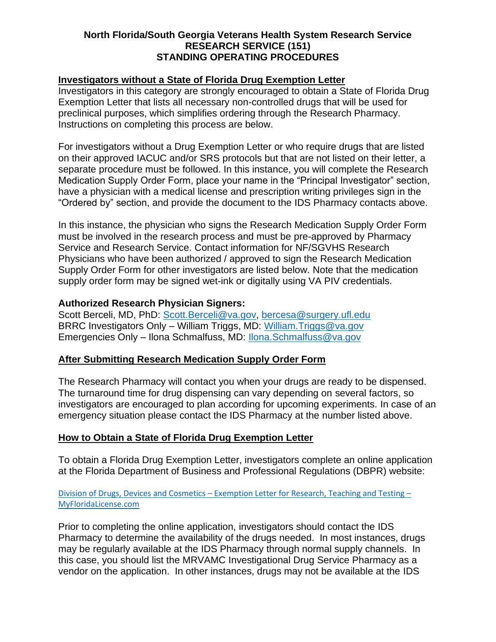## **North Florida/South Georgia Veterans Health System Research Service RESEARCH SERVICE (151) STANDING OPERATING PROCEDURES**

## **Investigators without a State of Florida Drug Exemption Letter**

Investigators in this category are strongly encouraged to obtain a State of Florida Drug Exemption Letter that lists all necessary non-controlled drugs that will be used for preclinical purposes, which simplifies ordering through the Research Pharmacy. Instructions on completing this process are below.

For investigators without a Drug Exemption Letter or who require drugs that are listed on their approved IACUC and/or SRS protocols but that are not listed on their letter, a separate procedure must be followed. In this instance, you will complete the Research Medication Supply Order Form, place your name in the "Principal Investigator" section, have a physician with a medical license and prescription writing privileges sign in the "Ordered by" section, and provide the document to the IDS Pharmacy contacts above.

In this instance, the physician who signs the Research Medication Supply Order Form must be involved in the research process and must be pre-approved by Pharmacy Service and Research Service. Contact information for NF/SGVHS Research Physicians who have been authorized / approved to sign the Research Medication Supply Order Form for other investigators are listed below. Note that the medication supply order form may be signed wet-ink or digitally using VA PIV credentials.

## **Authorized Research Physician Signers:**

Scott Berceli, MD, PhD: [Scott.Berceli@va.gov,](mailto:Scott.Berceli@va.gov) bercesa@surgery.ufl.edu BRRC Investigators Only – William Triggs, MD: [William.Triggs@va.gov](mailto:William.Triggs@va.gov) Emergencies Only – Ilona Schmalfuss, MD: [Ilona.Schmalfuss@va.gov](mailto:Ilona.Schmalfuss@va.gov)

### **After Submitting Research Medication Supply Order Form**

The Research Pharmacy will contact you when your drugs are ready to be dispensed. The turnaround time for drug dispensing can vary depending on several factors, so investigators are encouraged to plan according for upcoming experiments. In case of an emergency situation please contact the IDS Pharmacy at the number listed above.

# **How to Obtain a State of Florida Drug Exemption Letter**

To obtain a Florida Drug Exemption Letter, investigators complete an online application at the Florida Department of Business and Professional Regulations (DBPR) website:

#### Division of Drugs, Devices and Cosmetics – [Exemption Letter for Research, Teaching and Testing](http://www.myfloridalicense.com/DBPR/drugs-devices-and-cosmetics/exemption-letter-research-teaching-testing/) – [MyFloridaLicense.com](http://www.myfloridalicense.com/DBPR/drugs-devices-and-cosmetics/exemption-letter-research-teaching-testing/)

Prior to completing the online application, investigators should contact the IDS Pharmacy to determine the availability of the drugs needed. In most instances, drugs may be regularly available at the IDS Pharmacy through normal supply channels. In this case, you should list the MRVAMC Investigational Drug Service Pharmacy as a vendor on the application. In other instances, drugs may not be available at the IDS